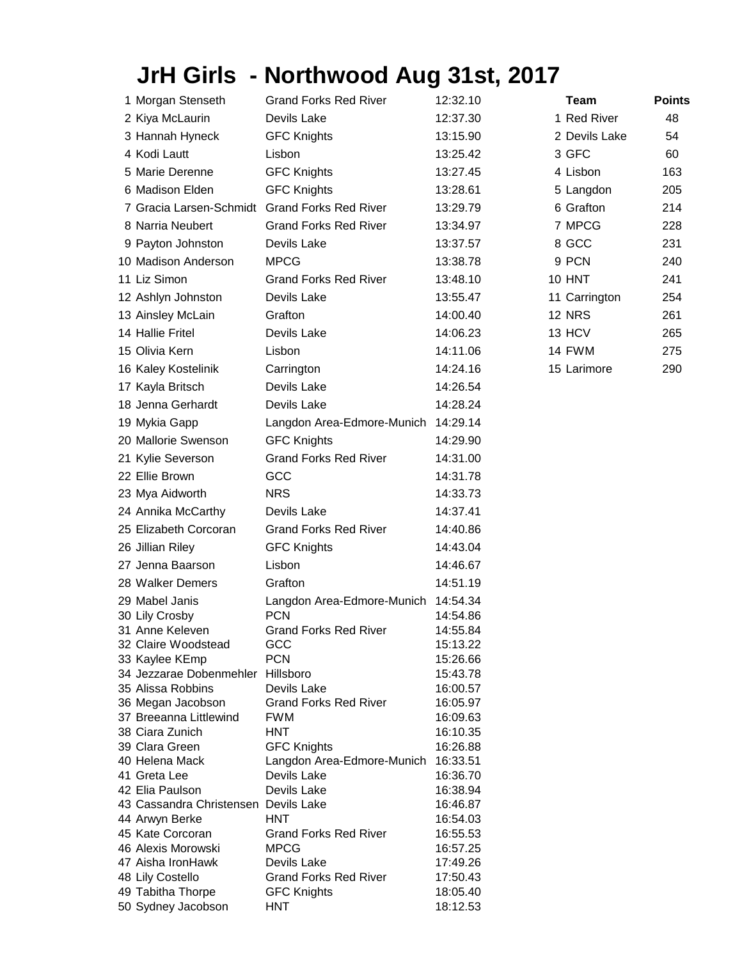## **JrH Girls - Northwood Aug 31st, 2017**

| 1 Morgan Stenseth                             | <b>Grand Forks Red River</b>              | 12:32.10             | <b>Team</b>   | <b>Points</b> |
|-----------------------------------------------|-------------------------------------------|----------------------|---------------|---------------|
| 2 Kiya McLaurin                               | Devils Lake                               | 12:37.30             | 1 Red River   | 48            |
| 3 Hannah Hyneck                               | <b>GFC Knights</b>                        | 13:15.90             | 2 Devils Lake | 54            |
| 4 Kodi Lautt                                  | Lisbon                                    | 13:25.42             | 3 GFC         | 60            |
| 5 Marie Derenne                               | <b>GFC Knights</b>                        | 13:27.45             | 4 Lisbon      | 163           |
| 6 Madison Elden                               | <b>GFC Knights</b>                        | 13:28.61             | 5 Langdon     | 205           |
|                                               |                                           |                      |               |               |
| 7 Gracia Larsen-Schmidt Grand Forks Red River |                                           | 13:29.79             | 6 Grafton     | 214           |
| 8 Narria Neubert                              | <b>Grand Forks Red River</b>              | 13:34.97             | 7 MPCG        | 228           |
| 9 Payton Johnston                             | Devils Lake                               | 13:37.57             | 8 GCC         | 231           |
| 10 Madison Anderson                           | <b>MPCG</b>                               | 13:38.78             | 9 PCN         | 240           |
| 11 Liz Simon                                  | <b>Grand Forks Red River</b>              | 13:48.10             | 10 HNT        | 241           |
| 12 Ashlyn Johnston                            | Devils Lake                               | 13:55.47             | 11 Carrington | 254           |
| 13 Ainsley McLain                             | Grafton                                   | 14:00.40             | <b>12 NRS</b> | 261           |
| 14 Hallie Fritel                              | Devils Lake                               | 14:06.23             | 13 HCV        | 265           |
| 15 Olivia Kern                                | Lisbon                                    | 14:11.06             | 14 FWM        | 275           |
| 16 Kaley Kostelinik                           | Carrington                                | 14:24.16             | 15 Larimore   | 290           |
| 17 Kayla Britsch                              | Devils Lake                               | 14:26.54             |               |               |
| 18 Jenna Gerhardt                             | Devils Lake                               | 14:28.24             |               |               |
| 19 Mykia Gapp                                 | Langdon Area-Edmore-Munich                | 14:29.14             |               |               |
| 20 Mallorie Swenson                           | <b>GFC Knights</b>                        | 14:29.90             |               |               |
|                                               | <b>Grand Forks Red River</b>              |                      |               |               |
| 21 Kylie Severson                             |                                           | 14:31.00             |               |               |
| 22 Ellie Brown                                | GCC                                       | 14:31.78             |               |               |
| 23 Mya Aidworth                               | <b>NRS</b>                                | 14:33.73             |               |               |
| 24 Annika McCarthy                            | Devils Lake                               | 14:37.41             |               |               |
| 25 Elizabeth Corcoran                         | <b>Grand Forks Red River</b>              | 14:40.86             |               |               |
| 26 Jillian Riley                              | <b>GFC Knights</b>                        | 14:43.04             |               |               |
| 27 Jenna Baarson                              | Lisbon                                    | 14:46.67             |               |               |
| 28 Walker Demers                              | Grafton                                   | 14:51.19             |               |               |
| 29 Mabel Janis                                | Langdon Area-Edmore-Munich                | 14:54.34             |               |               |
| 30 Lily Crosby                                | <b>PCN</b>                                | 14:54.86             |               |               |
| 31 Anne Keleven                               | Grand Forks Red River                     | 14:55.84             |               |               |
| 32 Claire Woodstead                           | GCC                                       | 15:13.22             |               |               |
| 33 Kaylee KEmp<br>34 Jezzarae Dobenmehler     | <b>PCN</b><br>Hillsboro                   | 15:26.66<br>15:43.78 |               |               |
| 35 Alissa Robbins                             | Devils Lake                               | 16:00.57             |               |               |
| 36 Megan Jacobson                             | <b>Grand Forks Red River</b>              | 16:05.97             |               |               |
| 37 Breeanna Littlewind                        | <b>FWM</b>                                | 16:09.63             |               |               |
| 38 Ciara Zunich                               | <b>HNT</b>                                | 16:10.35             |               |               |
| 39 Clara Green                                | <b>GFC Knights</b>                        | 16:26.88             |               |               |
| 40 Helena Mack<br>41 Greta Lee                | Langdon Area-Edmore-Munich<br>Devils Lake | 16:33.51<br>16:36.70 |               |               |
| 42 Elia Paulson                               | Devils Lake                               | 16:38.94             |               |               |
| 43 Cassandra Christensen Devils Lake          |                                           | 16:46.87             |               |               |
| 44 Arwyn Berke                                | <b>HNT</b>                                | 16:54.03             |               |               |
| 45 Kate Corcoran                              | <b>Grand Forks Red River</b>              | 16:55.53             |               |               |
| 46 Alexis Morowski                            | <b>MPCG</b>                               | 16:57.25             |               |               |
| 47 Aisha IronHawk                             | Devils Lake                               | 17:49.26             |               |               |
| 48 Lily Costello                              | <b>Grand Forks Red River</b>              | 17:50.43             |               |               |
| 49 Tabitha Thorpe<br>50 Sydney Jacobson       | <b>GFC Knights</b><br><b>HNT</b>          | 18:05.40<br>18:12.53 |               |               |
|                                               |                                           |                      |               |               |